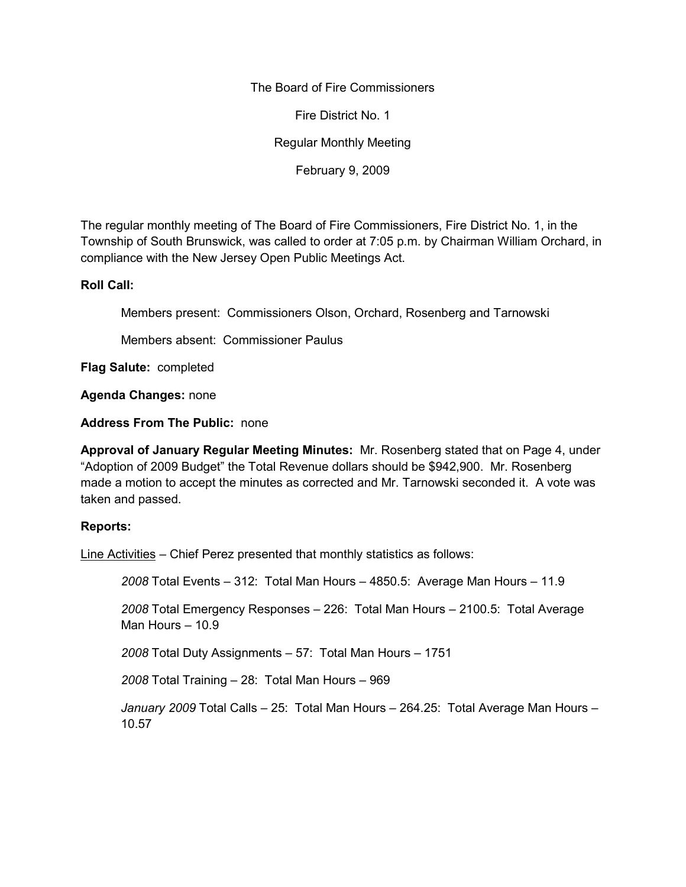The Board of Fire Commissioners

Fire District No. 1

Regular Monthly Meeting

February 9, 2009

The regular monthly meeting of The Board of Fire Commissioners, Fire District No. 1, in the Township of South Brunswick, was called to order at 7:05 p.m. by Chairman William Orchard, in compliance with the New Jersey Open Public Meetings Act.

#### **Roll Call:**

Members present: Commissioners Olson, Orchard, Rosenberg and Tarnowski

Members absent: Commissioner Paulus

**Flag Salute:** completed

**Agenda Changes:** none

**Address From The Public:** none

**Approval of January Regular Meeting Minutes:** Mr. Rosenberg stated that on Page 4, under "Adoption of 2009 Budget" the Total Revenue dollars should be \$942,900. Mr. Rosenberg made a motion to accept the minutes as corrected and Mr. Tarnowski seconded it. A vote was taken and passed.

# **Reports:**

Line Activities – Chief Perez presented that monthly statistics as follows:

*2008* Total Events – 312: Total Man Hours – 4850.5: Average Man Hours – 11.9

*2008* Total Emergency Responses – 226: Total Man Hours – 2100.5: Total Average Man Hours – 10.9

*2008* Total Duty Assignments – 57: Total Man Hours – 1751

*2008* Total Training – 28: Total Man Hours – 969

*January 2009* Total Calls – 25: Total Man Hours – 264.25: Total Average Man Hours – 10.57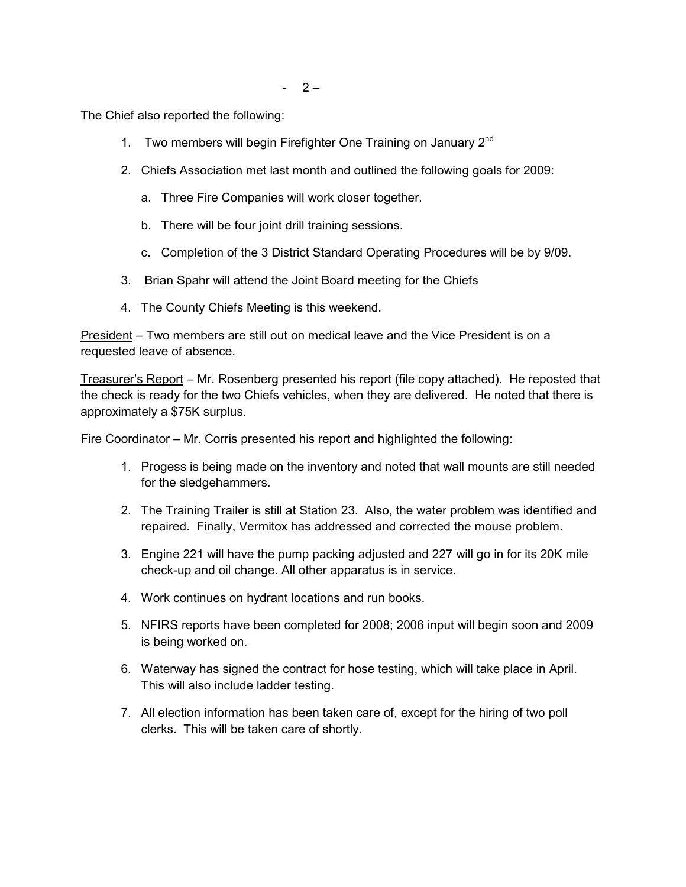The Chief also reported the following:

- 1. Two members will begin Firefighter One Training on January 2<sup>nd</sup>
- 2. Chiefs Association met last month and outlined the following goals for 2009:
	- a. Three Fire Companies will work closer together.
	- b. There will be four joint drill training sessions.
	- c. Completion of the 3 District Standard Operating Procedures will be by 9/09.
- 3. Brian Spahr will attend the Joint Board meeting for the Chiefs
- 4. The County Chiefs Meeting is this weekend.

President – Two members are still out on medical leave and the Vice President is on a requested leave of absence.

Treasurer's Report – Mr. Rosenberg presented his report (file copy attached). He reposted that the check is ready for the two Chiefs vehicles, when they are delivered. He noted that there is approximately a \$75K surplus.

Fire Coordinator – Mr. Corris presented his report and highlighted the following:

- 1. Progess is being made on the inventory and noted that wall mounts are still needed for the sledgehammers.
- 2. The Training Trailer is still at Station 23. Also, the water problem was identified and repaired. Finally, Vermitox has addressed and corrected the mouse problem.
- 3. Engine 221 will have the pump packing adjusted and 227 will go in for its 20K mile check-up and oil change. All other apparatus is in service.
- 4. Work continues on hydrant locations and run books.
- 5. NFIRS reports have been completed for 2008; 2006 input will begin soon and 2009 is being worked on.
- 6. Waterway has signed the contract for hose testing, which will take place in April. This will also include ladder testing.
- 7. All election information has been taken care of, except for the hiring of two poll clerks. This will be taken care of shortly.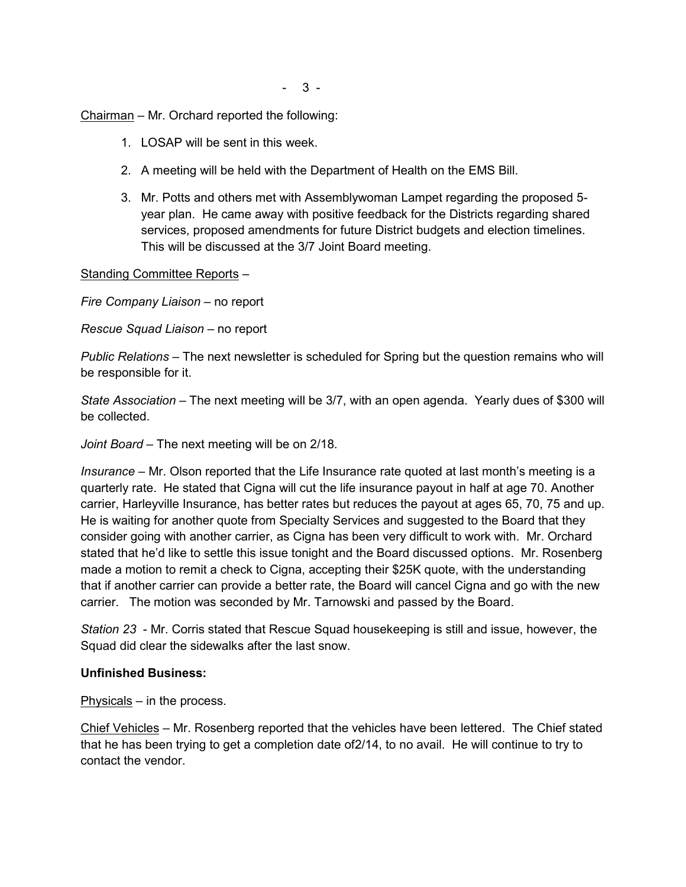Chairman – Mr. Orchard reported the following:

- 1. LOSAP will be sent in this week.
- 2. A meeting will be held with the Department of Health on the EMS Bill.
- 3. Mr. Potts and others met with Assemblywoman Lampet regarding the proposed 5 year plan. He came away with positive feedback for the Districts regarding shared services, proposed amendments for future District budgets and election timelines. This will be discussed at the 3/7 Joint Board meeting.

# Standing Committee Reports –

*Fire Company Liaison –* no report

*Rescue Squad Liaison –* no report

*Public Relations –* The next newsletter is scheduled for Spring but the question remains who will be responsible for it.

*State Association –* The next meeting will be 3/7, with an open agenda. Yearly dues of \$300 will be collected.

*Joint Board* – The next meeting will be on 2/18.

*Insurance –* Mr. Olson reported that the Life Insurance rate quoted at last month's meeting is a quarterly rate. He stated that Cigna will cut the life insurance payout in half at age 70. Another carrier, Harleyville Insurance, has better rates but reduces the payout at ages 65, 70, 75 and up. He is waiting for another quote from Specialty Services and suggested to the Board that they consider going with another carrier, as Cigna has been very difficult to work with. Mr. Orchard stated that he'd like to settle this issue tonight and the Board discussed options. Mr. Rosenberg made a motion to remit a check to Cigna, accepting their \$25K quote, with the understanding that if another carrier can provide a better rate, the Board will cancel Cigna and go with the new carrier. The motion was seconded by Mr. Tarnowski and passed by the Board.

*Station 23* - Mr. Corris stated that Rescue Squad housekeeping is still and issue, however, the Squad did clear the sidewalks after the last snow.

# **Unfinished Business:**

Physicals – in the process.

Chief Vehicles – Mr. Rosenberg reported that the vehicles have been lettered. The Chief stated that he has been trying to get a completion date of2/14, to no avail. He will continue to try to contact the vendor.